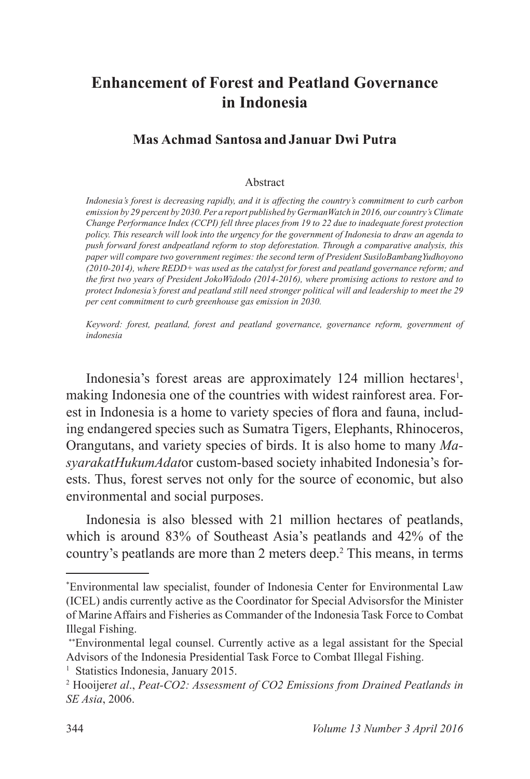## **Enhancement of Forest and Peatland Governance in Indonesia**

## **Mas Achmad Santosa and Januar Dwi Putra**

## Abstract

*Indonesia's forest is decreasing rapidly, and it is affecting the country's commitment to curb carbon emission by 29 percent by 2030. Per a report published by GermanWatch in 2016, our country's Climate Change Performance Index (CCPI) fell three places from 19 to 22 due to inadequate forest protection policy. This research will look into the urgency for the government of Indonesia to draw an agenda to push forward forest andpeatland reform to stop deforestation. Through a comparative analysis, this paper will compare two government regimes: the second term of President SusiloBambangYudhoyono (2010-2014), where REDD+ was used as the catalyst for forest and peatland governance reform; and the first two years of President JokoWidodo (2014-2016), where promising actions to restore and to protect Indonesia's forest and peatland still need stronger political will and leadership to meet the 29 per cent commitment to curb greenhouse gas emission in 2030.* 

*Keyword: forest, peatland, forest and peatland governance, governance reform, government of indonesia*

Indonesia's forest areas are approximately 124 million hectares<sup>1</sup>, making Indonesia one of the countries with widest rainforest area. Forest in Indonesia is a home to variety species of flora and fauna, including endangered species such as Sumatra Tigers, Elephants, Rhinoceros, Orangutans, and variety species of birds. It is also home to many *MasyarakatHukumAdat*or custom-based society inhabited Indonesia's forests. Thus, forest serves not only for the source of economic, but also environmental and social purposes.

Indonesia is also blessed with 21 million hectares of peatlands, which is around  $83\%$  of Southeast Asia's peatlands and  $42\%$  of the country's peatlands are more than 2 meters deep.<sup>2</sup> This means, in terms

<sup>\*</sup>Environmental law specialist, founder of Indonesia Center for Environmental Law (ICEL) andis currently active as the Coordinator for Special Advisorsfor the Minister of Marine Affairs and Fisheries as Commander of the Indonesia Task Force to Combat Illegal Fishing.

Environmental legal counsel. Currently active as a legal assistant for the Special Advisors of the Indonesia Presidential Task Force to Combat Illegal Fishing.

<sup>&</sup>lt;sup>1</sup> Statistics Indonesia, January 2015.

 Hooijer*et al*., *Peat-CO2: Assessment of CO2 Emissions from Drained Peatlands in SE Asia*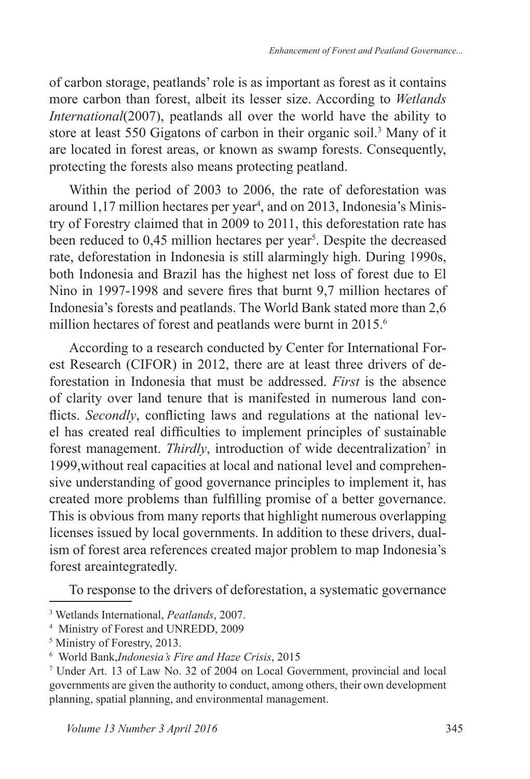of carbon storage, peatlands' role is as important as forest as it contains more carbon than forest, albeit its lesser size. According to *Wetlands International*(2007), peatlands all over the world have the ability to store at least 550 Gigatons of carbon in their organic soil.<sup>3</sup> Many of it are located in forest areas, or known as swamp forests. Consequently, protecting the forests also means protecting peatland.

Within the period of 2003 to 2006, the rate of deforestation was around  $1,17$  million hectares per year<sup>4</sup>, and on 2013, Indonesia's Ministry of Forestry claimed that in 2009 to 2011, this deforestation rate has been reduced to 0,45 million hectares per year<sup>5</sup>. Despite the decreased rate, deforestation in Indonesia is still alarmingly high. During 1990s, both Indonesia and Brazil has the highest net loss of forest due to El Nino in 1997-1998 and severe fires that burnt 9,7 million hectares of Indonesia's forests and peatlands. The World Bank stated more than 2,6 million hectares of forest and peatlands were burnt in 2015.<sup>6</sup>

According to a research conducted by Center for International Forest Research (CIFOR) in 2012, there are at least three drivers of deforestation in Indonesia that must be addressed. *First* is the absence of clarity over land tenure that is manifested in numerous land con flicts. *Secondly*, conflicting laws and regulations at the national level has created real difficulties to implement principles of sustainable forest management. Thirdly, introduction of wide decentralization<sup>7</sup> in 1999,without real capacities at local and national level and comprehensive understanding of good governance principles to implement it, has created more problems than fulfilling promise of a better governance. This is obvious from many reports that highlight numerous overlapping licenses issued by local governments. In addition to these drivers, dualism of forest area references created major problem to map Indonesia's forest areaintegratedly.

To response to the drivers of deforestation, a systematic governance

<sup>3</sup> Wetlands International, *Peatlands*

<sup>&</sup>lt;sup>4</sup> Ministry of Forest and UNREDD, 2009

<sup>&</sup>lt;sup>5</sup> Ministry of Forestry, 2013.

 World Bank,*Indonesia's Fire and Haze Crisis*

<sup>&</sup>lt;sup>7</sup> Under Art. 13 of Law No. 32 of 2004 on Local Government, provincial and local governments are given the authority to conduct, among others, their own development planning, spatial planning, and environmental management.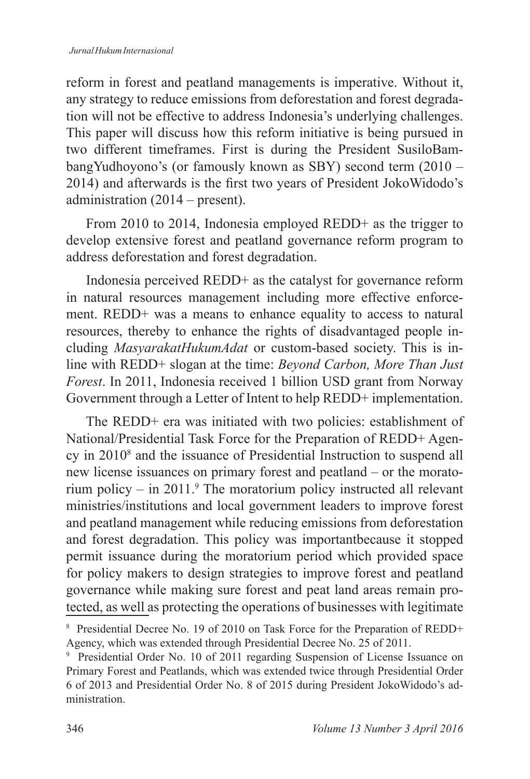reform in forest and peatland managements is imperative. Without it, any strategy to reduce emissions from deforestation and forest degradation will not be effective to address Indonesia's underlying challenges. This paper will discuss how this reform initiative is being pursued in two different timeframes. First is during the President SusiloBambangYudhoyono's (or famously known as SBY) second term  $(2010 -$ 2014) and afterwards is the first two years of President JokoWidodo's administration  $(2014 - \text{present})$ .

From 2010 to 2014, Indonesia employed REDD+ as the trigger to develop extensive forest and peatland governance reform program to address deforestation and forest degradation.

Indonesia perceived REDD+ as the catalyst for governance reform in natural resources management including more effective enforcement. REDD+ was a means to enhance equality to access to natural resources, thereby to enhance the rights of disadvantaged people including *MasyarakatHukumAdat* or custom-based society. This is inline with REDD<sup>+</sup> slogan at the time: *Beyond Carbon, More Than Just Forest*, In 2011, Indonesia received 1 billion USD grant from Norway Government through a Letter of Intent to help REDD+ implementation.

The REDD+ era was initiated with two policies: establishment of National/Presidential Task Force for the Preparation of REDD+ Agency in  $2010<sup>8</sup>$  and the issuance of Presidential Instruction to suspend all new license issuances on primary forest and peatland – or the moratorium policy  $-$  in 2011.<sup>9</sup> The moratorium policy instructed all relevant ministries/institutions and local government leaders to improve forest and peatland management while reducing emissions from deforestation and forest degradation. This policy was importantbecause it stopped permit issuance during the moratorium period which provided space for policy makers to design strategies to improve forest and peatland governance while making sure forest and peat land areas remain protected, as well as protecting the operations of businesses with legitimate

<sup>&</sup>lt;sup>8</sup> Presidential Decree No. 19 of 2010 on Task Force for the Preparation of REDD+ Agency, which was extended through Presidential Decree No. 25 of 2011.

<sup>&</sup>lt;sup>9</sup> Presidential Order No. 10 of 2011 regarding Suspension of License Issuance on Primary Forest and Peatlands, which was extended twice through Presidential Order 6 of 2013 and Presidential Order No. 8 of 2015 during President JokoWidodo's administration.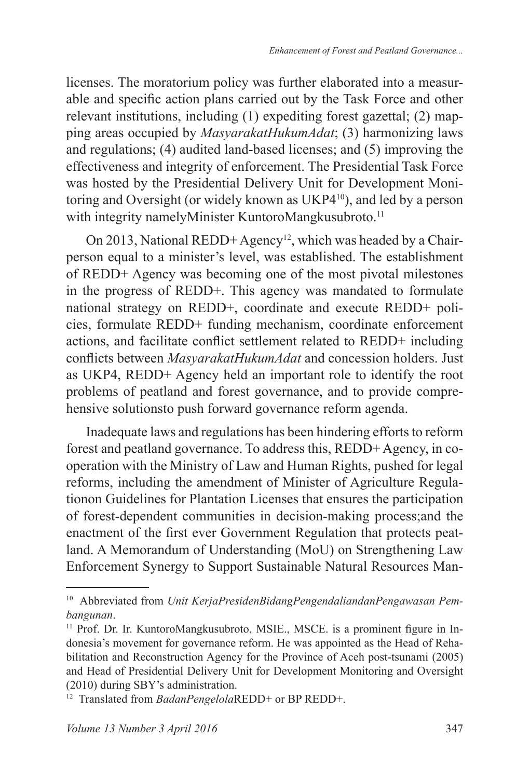licenses. The moratorium policy was further elaborated into a measurable and specific action plans carried out by the Task Force and other relevant institutions, including (1) expediting forest gazettal; (2) mapping areas occupied by *MasyarakatHukumAdat*; (3) harmonizing laws and regulations;  $(4)$  audited land-based licenses; and  $(5)$  improving the effectiveness and integrity of enforcement. The Presidential Task Force was hosted by the Presidential Delivery Unit for Development Monitoring and Oversight (or widely known as UKP4<sup>10</sup>), and led by a person with integrity namelyMinister KuntoroMangkusubroto.<sup>11</sup>

On 2013, National REDD+ Agency<sup>12</sup>, which was headed by a Chairperson equal to a minister's level, was established. The establishment of REDD+ Agency was becoming one of the most pivotal milestones in the progress of REDD+. This agency was mandated to formulate national strategy on REDD+, coordinate and execute REDD+ policies, formulate REDD+ funding mechanism, coordinate enforcement actions, and facilitate conflict settlement related to REDD+ including conflicts between MasyarakatHukumAdat and concession holders. Just as UKP4, REDD+ Agency held an important role to identify the root problems of peatland and forest governance, and to provide comprehensive solutionsto push forward governance reform agenda.

Inadequate laws and regulations has been hindering efforts to reform forest and peatland governance. To address this,  $REDD+Ageency$ , in cooperation with the Ministry of Law and Human Rights, pushed for legal reforms, including the amendment of Minister of Agriculture Regulationon Guidelines for Plantation Licenses that ensures the participation of forest-dependent communities in decision-making process;and the enactment of the first ever Government Regulation that protects peatland. A Memorandum of Understanding (MoU) on Strengthening Law Enforcement Synergy to Support Sustainable Natural Resources Man-

<sup>10</sup> Abbreviated from *Unit KerjaPresidenBidangPengendaliandanPengawasan Pembangunan*.

<sup>&</sup>lt;sup>11</sup> Prof. Dr. Ir. KuntoroMangkusubroto, MSIE., MSCE. is a prominent figure in Indonesia's movement for governance reform. He was appointed as the Head of Rehabilitation and Reconstruction Agency for the Province of Aceh post-tsunami (2005) and Head of Presidential Delivery Unit for Development Monitoring and Oversight  $(2010)$  during SBY's administration.

<sup>&</sup>lt;sup>12</sup> Translated from *BadanPengelola*REDD+ or BP REDD+.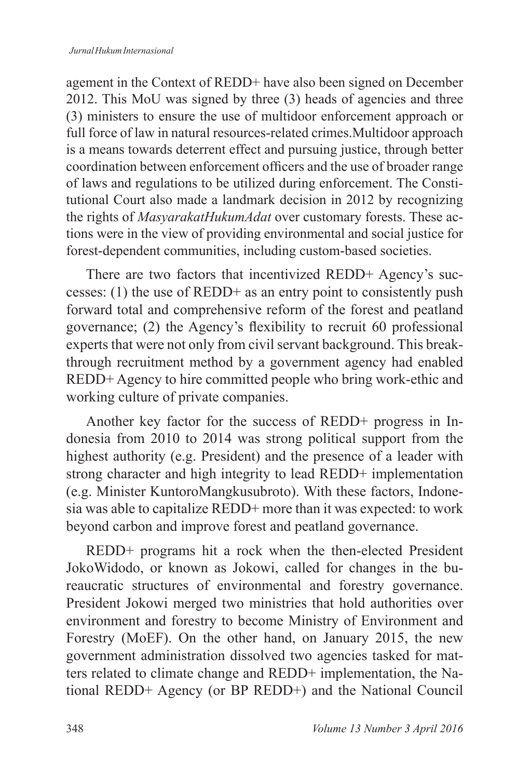agement in the Context of REDD+ have also been signed on December 2012. This MoU was signed by three  $(3)$  heads of agencies and three (3) ministers to ensure the use of multidoor enforcement approach or full force of law in natural resources-related crimes.Multidoor approach is a means towards deterrent effect and pursuing justice, through better coordination between enforcement officers and the use of broader range of laws and regulations to be utilized during enforcement. The Constitutional Court also made a landmark decision in 2012 by recognizing the rights of *MasyarakatHukumAdat* over customary forests. These actions were in the view of providing environmental and social justice for forest-dependent communities, including custom-based societies.

There are two factors that incentivized REDD+ Agency's successes: (1) the use of REDD+ as an entry point to consistently push forward total and comprehensive reform of the forest and peatland governance; (2) the Agency's flexibility to recruit 60 professional experts that were not only from civil servant background. This breakthrough recruitment method by a government agency had enabled REDD+ Agency to hire committed people who bring work-ethic and working culture of private companies.

Another key factor for the success of REDD+ progress in Indonesia from  $2010$  to  $2014$  was strong political support from the highest authority (e.g. President) and the presence of a leader with strong character and high integrity to lead REDD+ implementation (e.g. Minister KuntoroMangkusubroto). With these factors, Indonesia was able to capitalize REDD+ more than it was expected: to work beyond carbon and improve forest and peatland governance.

REDD+ programs hit a rock when the then-elected President JokoWidodo, or known as Jokowi, called for changes in the bureaucratic structures of environmental and forestry governance. President Jokowi merged two ministries that hold authorities over environment and forestry to become Ministry of Environment and Forestry (MoEF). On the other hand, on January 2015, the new government administration dissolved two agencies tasked for matters related to climate change and REDD+ implementation, the National REDD+ Agency (or BP REDD+) and the National Council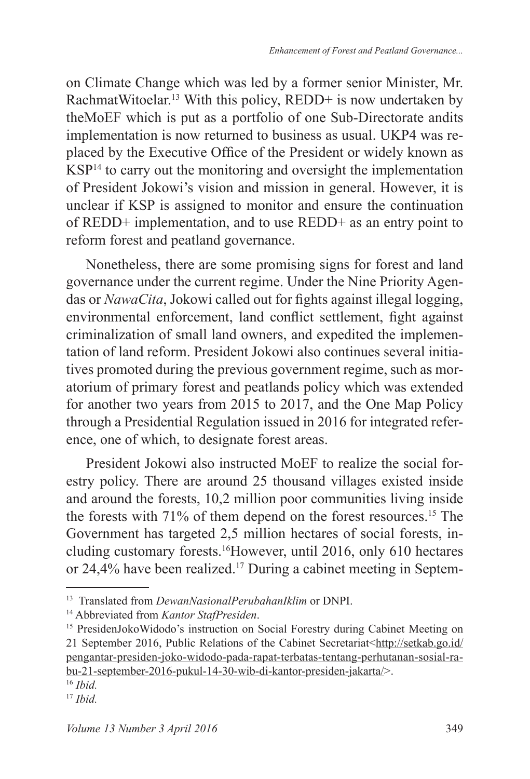on Climate Change which was led by a former senior Minister, Mr. RachmatWitoelar.<sup>13</sup> With this policy, REDD+ is now undertaken by theMoEF which is put as a portfolio of one Sub-Directorate andits implementation is now returned to business as usual. UKP4 was replaced by the Executive Office of the President or widely known as KSP<sup>14</sup> to carry out the monitoring and oversight the implementation of President Jokowi's vision and mission in general. However, it is unclear if KSP is assigned to monitor and ensure the continuation of REDD+ implementation, and to use REDD+ as an entry point to reform forest and peatland governance.

Nonetheless, there are some promising signs for forest and land governance under the current regime. Under the Nine Priority Agendas or *NawaCita*, Jokowi called out for fights against illegal logging, environmental enforcement, land conflict settlement, fight against criminalization of small land owners, and expedited the implementation of land reform. President Jokowi also continues several initiatives promoted during the previous government regime, such as moratorium of primary forest and peatlands policy which was extended for another two years from 2015 to 2017, and the One Map Policy through a Presidential Regulation issued in 2016 for integrated reference, one of which, to designate forest areas.

President Jokowi also instructed MoEF to realize the social forestry policy. There are around  $25$  thousand villages existed inside and around the forests,  $10,2$  million poor communities living inside the forests with  $71\%$  of them depend on the forest resources.<sup>15</sup> The Government has targeted 2,5 million hectares of social forests, including customary forests.<sup>16</sup>However, until 2016, only 610 hectares or 24,4% have been realized.<sup>17</sup> During a cabinet meeting in Septem-

<sup>13</sup> Translated from *DewanNasionalPerubahanIklim* or DNPI.

<sup>14</sup> Abbreviated from *Kantor StafPresiden*.

<sup>&</sup>lt;sup>15</sup> PresidenJokoWidodo's instruction on Social Forestry during Cabinet Meeting on 21 September 2016, Public Relations of the Cabinet Secretariat<http://setkab.go.id/ pengantar-presiden-joko-widodo-pada-rapat-terbatas-tentang-perhutanan-sosial-rabu-21-september-2016-pukul-14-30-wib-di-kantor-presiden-jakarta/>.

*Ibid.*

<sup>17</sup> *Ibid.*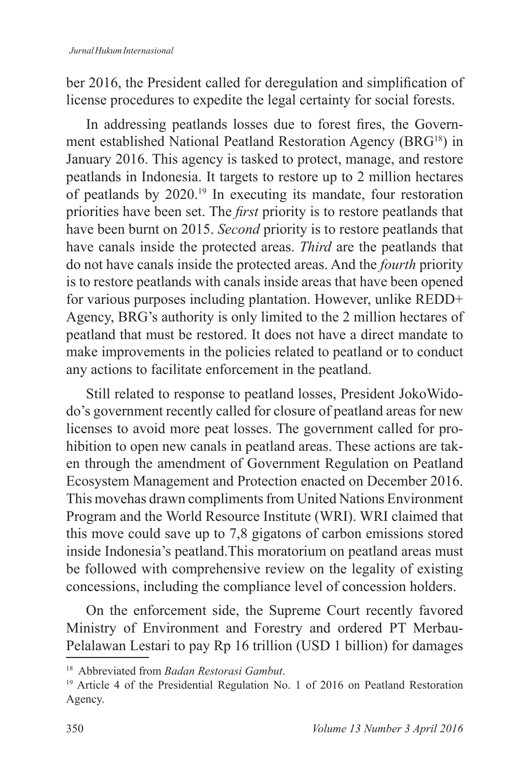ber 2016, the President called for deregulation and simplification of license procedures to expedite the legal certainty for social forests.

In addressing peatlands losses due to forest fires, the Government established National Peatland Restoration Agency (BRG<sup>18</sup>) in January 2016. This agency is tasked to protect, manage, and restore peatlands in Indonesia. It targets to restore up to 2 million hectares of peatlands by  $2020$ .<sup>19</sup> In executing its mandate, four restoration priorities have been set. The *first* priority is to restore peatlands that have been burnt on 2015. Second priority is to restore peatlands that have canals inside the protected areas. *Third* are the peatlands that do not have canals inside the protected areas. And the *fourth* priority is to restore peatlands with canals inside areas that have been opened for various purposes including plantation. However, unlike  $REDD+$ Agency, BRG's authority is only limited to the 2 million hectares of peatland that must be restored. It does not have a direct mandate to make improvements in the policies related to peatland or to conduct any actions to facilitate enforcement in the peatland.

Still related to response to peatland losses, President JokoWidodo's government recently called for closure of peatland areas for new licenses to avoid more peat losses. The government called for prohibition to open new canals in peatland areas. These actions are taken through the amendment of Government Regulation on Peatland Ecosystem Management and Protection enacted on December 2016. This movehas drawn compliments from United Nations Environment Program and the World Resource Institute (WRI). WRI claimed that this move could save up to 7,8 gigatons of carbon emissions stored inside Indonesia's peatland.This moratorium on peatland areas must be followed with comprehensive review on the legality of existing concessions, including the compliance level of concession holders.

On the enforcement side, the Supreme Court recently favored Ministry of Environment and Forestry and ordered PT Merbau-Pelalawan Lestari to pay Rp 16 trillion (USD 1 billion) for damages

<sup>18</sup> Abbreviated from *Badan Restorasi Gambut*.

<sup>&</sup>lt;sup>19</sup> Article 4 of the Presidential Regulation No. 1 of 2016 on Peatland Restoration Agency.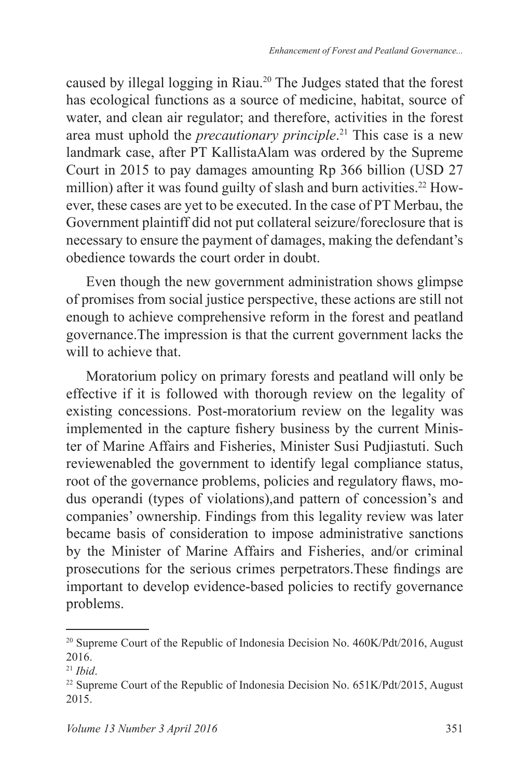caused by illegal logging in Riau.<sup>20</sup> The Judges stated that the forest has ecological functions as a source of medicine, habitat, source of water, and clean air regulator; and therefore, activities in the forest area must uphold the *precautionary principle*. This case is a new landmark case, after PT KallistaAlam was ordered by the Supreme Court in 2015 to pay damages amounting Rp  $366$  billion (USD 27) million) after it was found guilty of slash and burn activities.<sup>22</sup> However, these cases are yet to be executed. In the case of PT Merbau, the Government plaintiff did not put collateral seizure/foreclosure that is necessary to ensure the payment of damages, making the defendant's obedience towards the court order in doubt.

Even though the new government administration shows glimpse of promises from social justice perspective, these actions are still not enough to achieve comprehensive reform in the forest and peatland governance.The impression is that the current government lacks the will to achieve that.

Moratorium policy on primary forests and peatland will only be effective if it is followed with thorough review on the legality of existing concessions. Post-moratorium review on the legality was implemented in the capture fishery business by the current Minister of Marine Affairs and Fisheries, Minister Susi Pudjiastuti. Such reviewenabled the government to identify legal compliance status, root of the governance problems, policies and regulatory flaws, modus operandi (types of violations),and pattern of concession's and companies' ownership. Findings from this legality review was later became basis of consideration to impose administrative sanctions by the Minister of Marine Affairs and Fisheries, and/or criminal prosecutions for the serious crimes perpetrators. These findings are important to develop evidence-based policies to rectify governance problems.

<sup>&</sup>lt;sup>20</sup> Supreme Court of the Republic of Indonesia Decision No. 460K/Pdt/2016, August 2016.

 $21$  *Ibid*.

<sup>&</sup>lt;sup>22</sup> Supreme Court of the Republic of Indonesia Decision No.  $651K/Pdt/2015$ , August 2015.